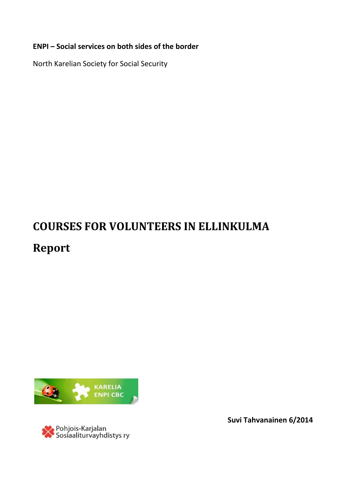# **ENPI – Social services on both sides of the border**

North Karelian Society for Social Security

# **COURSES FOR VOLUNTEERS IN ELLINKULMA Report**



<mark>≫</mark> Pohjois-Karjalan<br>Sosiaaliturvayhdistys ry

**Suvi Tahvanainen 6/2014**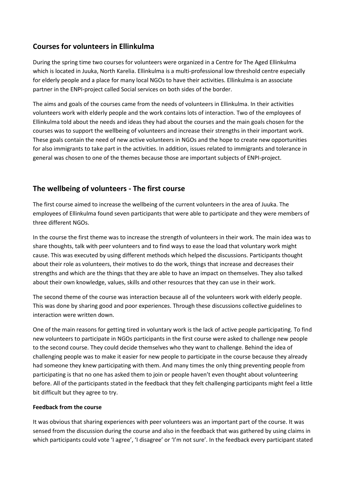# **Courses for volunteers in Ellinkulma**

During the spring time two courses for volunteers were organized in a Centre for The Aged Ellinkulma which is located in Juuka, North Karelia. Ellinkulma is a multi-professional low threshold centre especially for elderly people and a place for many local NGOs to have their activities. Ellinkulma is an associate partner in the ENPI-project called Social services on both sides of the border.

The aims and goals of the courses came from the needs of volunteers in Ellinkulma. In their activities volunteers work with elderly people and the work contains lots of interaction. Two of the employees of Ellinkulma told about the needs and ideas they had about the courses and the main goals chosen for the courses was to support the wellbeing of volunteers and increase their strengths in their important work. These goals contain the need of new active volunteers in NGOs and the hope to create new opportunities for also immigrants to take part in the activities. In addition, issues related to immigrants and tolerance in general was chosen to one of the themes because those are important subjects of ENPI-project.

## **The wellbeing of volunteers - The first course**

The first course aimed to increase the wellbeing of the current volunteers in the area of Juuka. The employees of Ellinkulma found seven participants that were able to participate and they were members of three different NGOs.

In the course the first theme was to increase the strength of volunteers in their work. The main idea was to share thoughts, talk with peer volunteers and to find ways to ease the load that voluntary work might cause. This was executed by using different methods which helped the discussions. Participants thought about their role as volunteers, their motives to do the work, things that increase and decreases their strengths and which are the things that they are able to have an impact on themselves. They also talked about their own knowledge, values, skills and other resources that they can use in their work.

The second theme of the course was interaction because all of the volunteers work with elderly people. This was done by sharing good and poor experiences. Through these discussions collective guidelines to interaction were written down.

One of the main reasons for getting tired in voluntary work is the lack of active people participating. To find new volunteers to participate in NGOs participants in the first course were asked to challenge new people to the second course. They could decide themselves who they want to challenge. Behind the idea of challenging people was to make it easier for new people to participate in the course because they already had someone they knew participating with them. And many times the only thing preventing people from participating is that no one has asked them to join or people haven't even thought about volunteering before. All of the participants stated in the feedback that they felt challenging participants might feel a little bit difficult but they agree to try.

#### **Feedback from the course**

It was obvious that sharing experiences with peer volunteers was an important part of the course. It was sensed from the discussion during the course and also in the feedback that was gathered by using claims in which participants could vote 'I agree', 'I disagree' or 'I'm not sure'. In the feedback every participant stated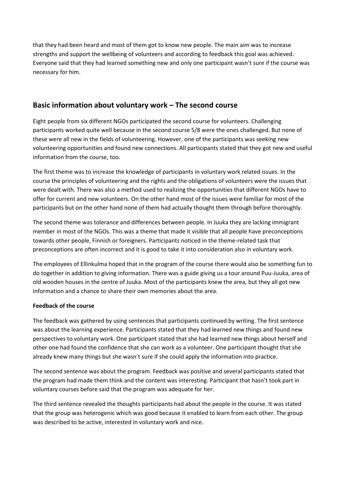that they had been heard and most of them got to know new people. The main aim was to increase strengths and support the wellbeing of volunteers and according to feedback this goal was achieved. Everyone said that they had learned something new and only one participant wasn't sure if the course was necessary for him.

# **Basic information about voluntary work – The second course**

Eight people from six different NGOs participated the second course for volunteers. Challenging participants worked quite well because in the second course 5/8 were the ones challenged. But none of these were all new in the fields of volunteering. However, one of the participants was seeking new volunteering opportunities and found new connections. All participants stated that they got new and useful information from the course, too.

The first theme was to increase the knowledge of participants in voluntary work related issues. In the course the principles of volunteering and the rights and the obligations of volunteers were the issues that were dealt with. There was also a method used to realizing the opportunities that different NGOs have to offer for current and new volunteers. On the other hand most of the issues were familiar for most of the participants but on the other hand none of them had actually thought them through before thoroughly.

The second theme was tolerance and differences between people. In Juuka they are lacking immigrant member in most of the NGOs. This was a theme that made it visible that all people have preconceptions towards other people, Finnish or foreigners. Participants noticed in the theme-related task that preconceptions are often incorrect and it is good to take it into consideration also in voluntary work.

The employees of Ellinkulma hoped that in the program of the course there would also be something fun to do together in addition to giving information. There was a guide giving us a tour around Puu-Juuka, area of old wooden houses in the centre of Juuka. Most of the participants knew the area, but they all got new information and a chance to share their own memories about the area.

#### **Feedback of the course**

The feedback was gathered by using sentences that participants continued by writing. The first sentence was about the learning experience. Participants stated that they had learned new things and found new perspectives to voluntary work. One participant stated that she had learned new things about herself and other one had found the confidence that she can work as a volunteer. One participant thought that she already knew many things but she wasn't sure if she could apply the information into practice.

The second sentence was about the program. Feedback was positive and several participants stated that the program had made them think and the content was interesting. Participant that hasn't took part in voluntary courses before said that the program was adequate for her.

The third sentence revealed the thoughts participants had about the people in the course. It was stated that the group was heterogenic which was good because it enabled to learn from each other. The group was described to be active, interested in voluntary work and nice.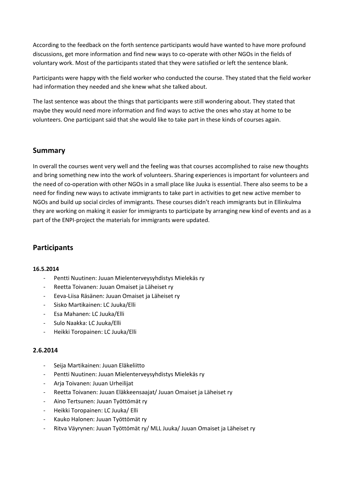According to the feedback on the forth sentence participants would have wanted to have more profound discussions, get more information and find new ways to co-operate with other NGOs in the fields of voluntary work. Most of the participants stated that they were satisfied or left the sentence blank.

Participants were happy with the field worker who conducted the course. They stated that the field worker had information they needed and she knew what she talked about.

The last sentence was about the things that participants were still wondering about. They stated that maybe they would need more information and find ways to active the ones who stay at home to be volunteers. One participant said that she would like to take part in these kinds of courses again.

#### **Summary**

In overall the courses went very well and the feeling was that courses accomplished to raise new thoughts and bring something new into the work of volunteers. Sharing experiences is important for volunteers and the need of co-operation with other NGOs in a small place like Juuka is essential. There also seems to be a need for finding new ways to activate immigrants to take part in activities to get new active member to NGOs and build up social circles of immigrants. These courses didn't reach immigrants but in Ellinkulma they are working on making it easier for immigrants to participate by arranging new kind of events and as a part of the ENPI-project the materials for immigrants were updated.

### **Participants**

#### **16.5.2014**

- Pentti Nuutinen: Juuan Mielenterveysyhdistys Mielekäs ry
- Reetta Toivanen: Juuan Omaiset ja Läheiset ry
- Eeva-Liisa Räsänen: Juuan Omaiset ja Läheiset ry
- Sisko Martikainen: LC Juuka/Elli
- Esa Mahanen: LC Juuka/Elli
- Sulo Naakka: LC Juuka/Elli
- Heikki Toropainen: LC Juuka/Elli

#### **2.6.2014**

- Seija Martikainen: Juuan Eläkeliitto
- Pentti Nuutinen: Juuan Mielenterveysyhdistys Mielekäs ry
- Arja Toivanen: Juuan Urheilijat
- Reetta Toivanen: Juuan Eläkkeensaajat/ Juuan Omaiset ja Läheiset ry
- Aino Tertsunen: Juuan Työttömät ry
- Heikki Toropainen: LC Juuka/ Elli
- Kauko Halonen: Juuan Työttömät ry
- Ritva Väyrynen: Juuan Työttömät ry/ MLL Juuka/ Juuan Omaiset ja Läheiset ry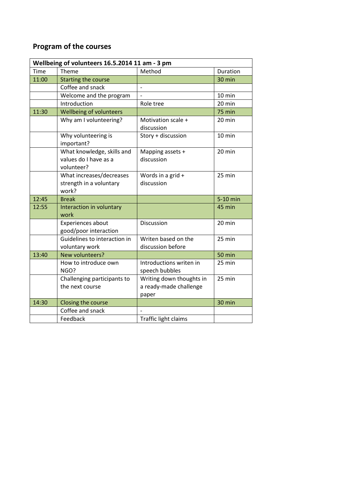# **Program of the courses**

| Wellbeing of volunteers 16.5.2014 11 am - 3 pm |                                                                   |                                                             |                  |
|------------------------------------------------|-------------------------------------------------------------------|-------------------------------------------------------------|------------------|
| <b>Time</b>                                    | Theme                                                             | Method                                                      | Duration         |
| 11:00                                          | <b>Starting the course</b>                                        |                                                             | 30 min           |
|                                                | Coffee and snack                                                  |                                                             |                  |
|                                                | Welcome and the program                                           | $\overline{a}$                                              | 10 min           |
|                                                | Introduction                                                      | Role tree                                                   | $20 \text{ min}$ |
| 11:30                                          | Wellbeing of volunteers                                           |                                                             | 75 min           |
|                                                | Why am I volunteering?                                            | Motivation scale +<br>discussion                            | 20 min           |
|                                                | Why volunteering is<br>important?                                 | Story + discussion                                          | 10 min           |
|                                                | What knowledge, skills and<br>values do I have as a<br>volunteer? | Mapping assets +<br>discussion                              | 20 min           |
|                                                | What increases/decreases<br>strength in a voluntary<br>work?      | Words in a grid +<br>discussion                             | 25 min           |
| 12:45                                          | <b>Break</b>                                                      |                                                             | 5-10 min         |
| 12:55                                          | Interaction in voluntary<br>work                                  |                                                             | 45 min           |
|                                                | Experiences about<br>good/poor interaction                        | Discussion                                                  | 20 min           |
|                                                | Guidelines to interaction in<br>voluntary work                    | Writen based on the<br>discussion before                    | 25 min           |
| 13:40                                          | New volunteers?                                                   |                                                             | <b>50 min</b>    |
|                                                | How to introduce own<br>NGO?                                      | Introductions writen in<br>speech bubbles                   | 25 min           |
|                                                | Challenging participants to<br>the next course                    | Writing down thoughts in<br>a ready-made challenge<br>paper | 25 min           |
| 14:30                                          | Closing the course                                                |                                                             | 30 min           |
|                                                | Coffee and snack                                                  |                                                             |                  |
|                                                | Feedback                                                          | Traffic light claims                                        |                  |